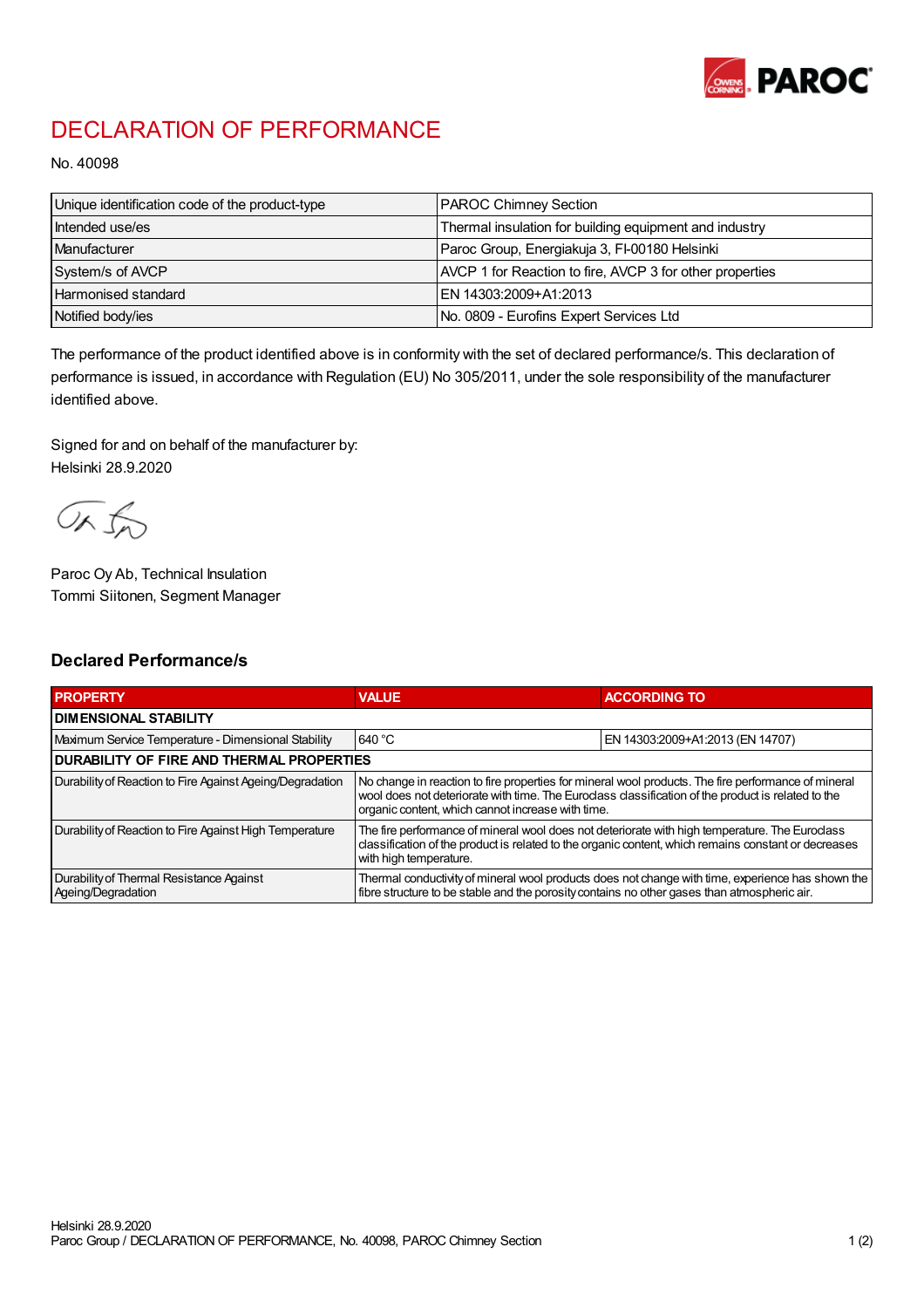

## DECLARATION OF PERFORMANCE

No. 40098

| Unique identification code of the product-type | <b>PAROC Chimney Section</b>                             |
|------------------------------------------------|----------------------------------------------------------|
| Intended use/es                                | Thermal insulation for building equipment and industry   |
| Manufacturer                                   | Paroc Group, Energiakuja 3, FI-00180 Helsinki            |
| System/s of AVCP                               | AVCP 1 for Reaction to fire, AVCP 3 for other properties |
| <b>Harmonised standard</b>                     | EN 14303:2009+A1:2013                                    |
| Notified body/ies                              | No. 0809 - Eurofins Expert Services Ltd                  |

The performance of the product identified above is in conformity with the set of declared performance/s. This declaration of performance is issued, in accordance with Regulation (EU) No 305/2011, under the sole responsibility of the manufacturer identified above.

Signed for and on behalf of the manufacturer by: Helsinki 28.9.2020

ORJO

Paroc Oy Ab, Technical Insulation Tommi Siitonen, Segment Manager

## Declared Performance/s

| <b>PROPERTY</b>                                                | <b>VALUE</b>                                                                                                                                                                                                                                                   | <b>ACCORDING TO</b>              |  |
|----------------------------------------------------------------|----------------------------------------------------------------------------------------------------------------------------------------------------------------------------------------------------------------------------------------------------------------|----------------------------------|--|
| <b>I DIMENSIONAL STABILITY</b>                                 |                                                                                                                                                                                                                                                                |                                  |  |
| Maximum Service Temperature - Dimensional Stability            | 640 °C                                                                                                                                                                                                                                                         | EN 14303:2009+A1:2013 (EN 14707) |  |
| <b>DURABILITY OF FIRE AND THERMAL PROPERTIES</b>               |                                                                                                                                                                                                                                                                |                                  |  |
| Durability of Reaction to Fire Against Ageing/Degradation      | No change in reaction to fire properties for mineral wool products. The fire performance of mineral<br>wool does not deteriorate with time. The Euroclass classification of the product is related to the<br>organic content, which cannot increase with time. |                                  |  |
| Durability of Reaction to Fire Against High Temperature        | The fire performance of mineral wool does not deteriorate with high temperature. The Euroclass<br>classification of the product is related to the organic content, which remains constant or decreases<br>with high temperature.                               |                                  |  |
| Durability of Thermal Resistance Against<br>Ageing/Degradation | Thermal conductivity of mineral wool products does not change with time, experience has shown the<br>fibre structure to be stable and the porosity contains no other gases than atmospheric air.                                                               |                                  |  |